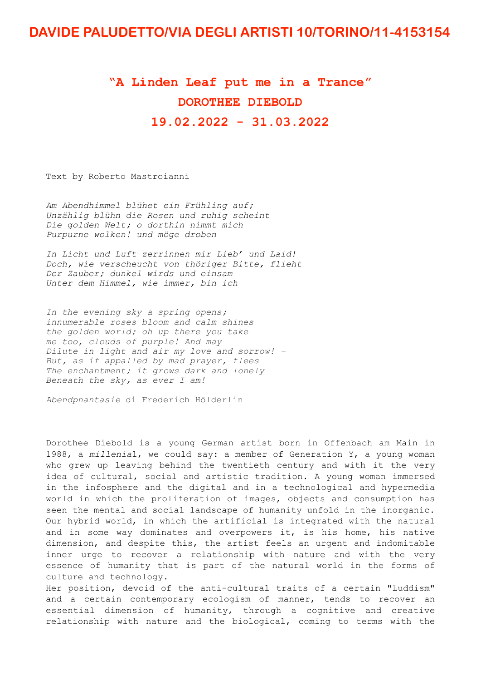## **DAVIDE PALUDETTO/VIA DEGLI ARTISTI 10/TORINO/11-4153154**

## **"A Linden Leaf put me in a Trance" DOROTHEE DIEBOLD**

**19.02.2022 - 31.03.2022**

Text by Roberto Mastroianni

*Am Abendhimmel blühet ein Frühling auf; Unzählig blühn die Rosen und ruhig scheint Die golden Welt; o dorthin nimmt mich Purpurne wolken! und möge droben*

*In Licht und Luft zerrinnen mir Lieb' und Laid! – Doch, wie verscheucht von thöriger Bitte, flieht Der Zauber; dunkel wirds und einsam Unter dem Himmel, wie immer, bin ich* 

*In the evening sky a spring opens; innumerable roses bloom and calm shines the golden world; oh up there you take me too, clouds of purple! And may Dilute in light and air my love and sorrow! – But, as if appalled by mad prayer, flees The enchantment; it grows dark and lonely Beneath the sky, as ever I am!*

*Abendphantasie* di Frederich Hölderlin

Dorothee Diebold is a young German artist born in Offenbach am Main in 1988, a *millenia*l, we could say: a member of Generation Y, a young woman who grew up leaving behind the twentieth century and with it the very idea of cultural, social and artistic tradition. A young woman immersed in the infosphere and the digital and in a technological and hypermedia world in which the proliferation of images, objects and consumption has seen the mental and social landscape of humanity unfold in the inorganic. Our hybrid world, in which the artificial is integrated with the natural and in some way dominates and overpowers it, is his home, his native dimension, and despite this, the artist feels an urgent and indomitable inner urge to recover a relationship with nature and with the very essence of humanity that is part of the natural world in the forms of culture and technology.

Her position, devoid of the anti-cultural traits of a certain "Luddism" and a certain contemporary ecologism of manner, tends to recover an essential dimension of humanity, through a cognitive and creative relationship with nature and the biological, coming to terms with the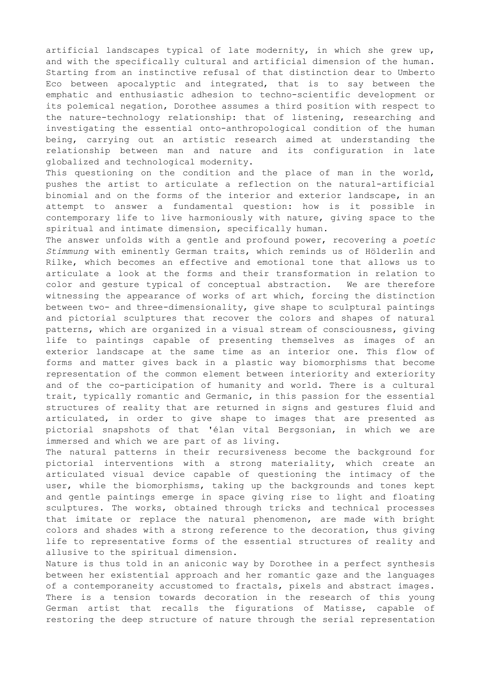artificial landscapes typical of late modernity, in which she grew up, and with the specifically cultural and artificial dimension of the human. Starting from an instinctive refusal of that distinction dear to Umberto Eco between apocalyptic and integrated, that is to say between the emphatic and enthusiastic adhesion to techno-scientific development or its polemical negation, Dorothee assumes a third position with respect to the nature-technology relationship: that of listening, researching and investigating the essential onto-anthropological condition of the human being, carrying out an artistic research aimed at understanding the relationship between man and nature and its configuration in late globalized and technological modernity.

This questioning on the condition and the place of man in the world, pushes the artist to articulate a reflection on the natural-artificial binomial and on the forms of the interior and exterior landscape, in an attempt to answer a fundamental question: how is it possible in contemporary life to live harmoniously with nature, giving space to the spiritual and intimate dimension, specifically human.

The answer unfolds with a gentle and profound power, recovering a *poetic Stimmung* with eminently German traits, which reminds us of Hölderlin and Rilke, which becomes an effective and emotional tone that allows us to articulate a look at the forms and their transformation in relation to color and gesture typical of conceptual abstraction. We are therefore witnessing the appearance of works of art which, forcing the distinction between two- and three-dimensionality, give shape to sculptural paintings and pictorial sculptures that recover the colors and shapes of natural patterns, which are organized in a visual stream of consciousness, giving life to paintings capable of presenting themselves as images of an exterior landscape at the same time as an interior one. This flow of forms and matter gives back in a plastic way biomorphisms that become representation of the common element between interiority and exteriority and of the co-participation of humanity and world. There is a cultural trait, typically romantic and Germanic, in this passion for the essential structures of reality that are returned in signs and gestures fluid and articulated, in order to give shape to images that are presented as pictorial snapshots of that 'élan vital Bergsonian, in which we are immersed and which we are part of as living.

The natural patterns in their recursiveness become the background for pictorial interventions with a strong materiality, which create an articulated visual device capable of questioning the intimacy of the user, while the biomorphisms, taking up the backgrounds and tones kept and gentle paintings emerge in space giving rise to light and floating sculptures. The works, obtained through tricks and technical processes that imitate or replace the natural phenomenon, are made with bright colors and shades with a strong reference to the decoration, thus giving life to representative forms of the essential structures of reality and allusive to the spiritual dimension.

Nature is thus told in an aniconic way by Dorothee in a perfect synthesis between her existential approach and her romantic gaze and the languages of a contemporaneity accustomed to fractals, pixels and abstract images. There is a tension towards decoration in the research of this young German artist that recalls the figurations of Matisse, capable of restoring the deep structure of nature through the serial representation